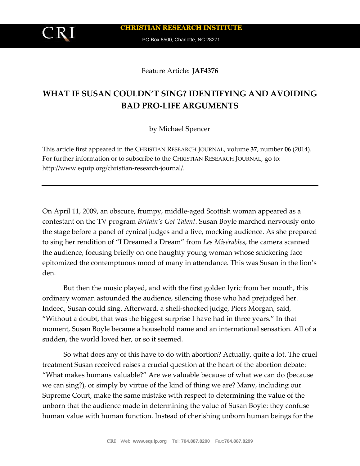PO Box 8500, Charlotte, NC 28271

Feature Article: **JAF4376**

# **WHAT IF SUSAN COULDN'T SING? IDENTIFYING AND AVOIDING BAD PRO-LIFE ARGUMENTS**

by Michael Spencer

This article first appeared in the CHRISTIAN RESEARCH JOURNAL, volume **37**, number **06** (2014). For further information or to subscribe to the CHRISTIAN RESEARCH JOURNAL, go to: http://www.equip.org/christian-research-journal/.

On April 11, 2009, an obscure, frumpy, middle-aged Scottish woman appeared as a contestant on the TV program *Britain's Got Talent*. Susan Boyle marched nervously onto the stage before a panel of cynical judges and a live, mocking audience. As she prepared to sing her rendition of "I Dreamed a Dream" from *Les Misérables*, the camera scanned the audience, focusing briefly on one haughty young woman whose snickering face epitomized the contemptuous mood of many in attendance. This was Susan in the lion's den.

But then the music played, and with the first golden lyric from her mouth, this ordinary woman astounded the audience, silencing those who had prejudged her. Indeed, Susan could sing. Afterward, a shell-shocked judge, Piers Morgan, said, "Without a doubt, that was the biggest surprise I have had in three years." In that moment, Susan Boyle became a household name and an international sensation. All of a sudden, the world loved her, or so it seemed.

So what does any of this have to do with abortion? Actually, quite a lot. The cruel treatment Susan received raises a crucial question at the heart of the abortion debate: "What makes humans valuable?" Are we valuable because of what we can do (because we can sing?), or simply by virtue of the kind of thing we are? Many, including our Supreme Court, make the same mistake with respect to determining the value of the unborn that the audience made in determining the value of Susan Boyle: they confuse human value with human function. Instead of cherishing unborn human beings for the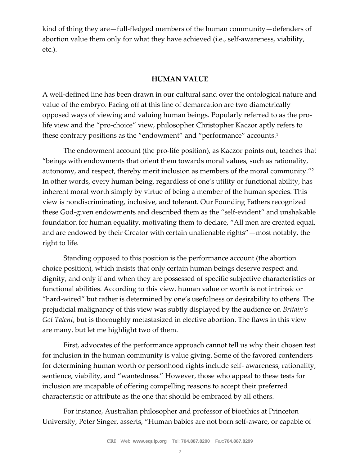kind of thing they are—full-fledged members of the human community—defenders of abortion value them only for what they have achieved (i.e., self-awareness, viability, etc.).

### **HUMAN VALUE**

A well-defined line has been drawn in our cultural sand over the ontological nature and value of the embryo. Facing off at this line of demarcation are two diametrically opposed ways of viewing and valuing human beings. Popularly referred to as the prolife view and the "pro-choice" view, philosopher Christopher Kaczor aptly refers to these contrary positions as the "endowment" and "performance" accounts.<sup>1</sup>

The endowment account (the pro-life position), as Kaczor points out, teaches that "beings with endowments that orient them towards moral values, such as rationality, autonomy, and respect, thereby merit inclusion as members of the moral community."<sup>2</sup> In other words, every human being, regardless of one's utility or functional ability, has inherent moral worth simply by virtue of being a member of the human species. This view is nondiscriminating, inclusive, and tolerant. Our Founding Fathers recognized these God-given endowments and described them as the "self-evident" and unshakable foundation for human equality, motivating them to declare, "All men are created equal, and are endowed by their Creator with certain unalienable rights"—most notably, the right to life.

Standing opposed to this position is the performance account (the abortion choice position), which insists that only certain human beings deserve respect and dignity, and only if and when they are possessed of specific subjective characteristics or functional abilities. According to this view, human value or worth is not intrinsic or "hard-wired" but rather is determined by one's usefulness or desirability to others. The prejudicial malignancy of this view was subtly displayed by the audience on *Britain's Got Talent*, but is thoroughly metastasized in elective abortion. The flaws in this view are many, but let me highlight two of them.

First, advocates of the performance approach cannot tell us why their chosen test for inclusion in the human community is value giving. Some of the favored contenders for determining human worth or personhood rights include self- awareness, rationality, sentience, viability, and "wantedness." However, those who appeal to these tests for inclusion are incapable of offering compelling reasons to accept their preferred characteristic or attribute as the one that should be embraced by all others.

For instance, Australian philosopher and professor of bioethics at Princeton University, Peter Singer, asserts, "Human babies are not born self-aware, or capable of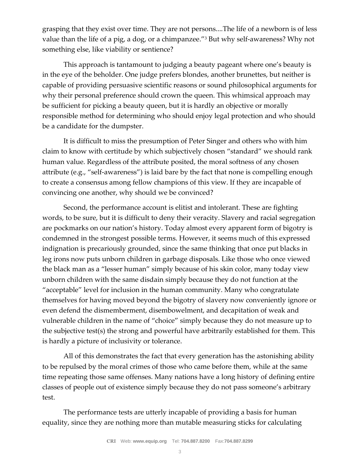grasping that they exist over time. They are not persons....The life of a newborn is of less value than the life of a pig, a dog, or a chimpanzee."<sup>3</sup> But why self-awareness? Why not something else, like viability or sentience?

This approach is tantamount to judging a beauty pageant where one's beauty is in the eye of the beholder. One judge prefers blondes, another brunettes, but neither is capable of providing persuasive scientific reasons or sound philosophical arguments for why their personal preference should crown the queen. This whimsical approach may be sufficient for picking a beauty queen, but it is hardly an objective or morally responsible method for determining who should enjoy legal protection and who should be a candidate for the dumpster.

It is difficult to miss the presumption of Peter Singer and others who with him claim to know with certitude by which subjectively chosen "standard" we should rank human value. Regardless of the attribute posited, the moral softness of any chosen attribute (e.g., "self-awareness") is laid bare by the fact that none is compelling enough to create a consensus among fellow champions of this view. If they are incapable of convincing one another, why should we be convinced?

Second, the performance account is elitist and intolerant. These are fighting words, to be sure, but it is difficult to deny their veracity. Slavery and racial segregation are pockmarks on our nation's history. Today almost every apparent form of bigotry is condemned in the strongest possible terms. However, it seems much of this expressed indignation is precariously grounded, since the same thinking that once put blacks in leg irons now puts unborn children in garbage disposals. Like those who once viewed the black man as a "lesser human" simply because of his skin color, many today view unborn children with the same disdain simply because they do not function at the "acceptable" level for inclusion in the human community. Many who congratulate themselves for having moved beyond the bigotry of slavery now conveniently ignore or even defend the dismemberment, disembowelment, and decapitation of weak and vulnerable children in the name of "choice" simply because they do not measure up to the subjective test(s) the strong and powerful have arbitrarily established for them. This is hardly a picture of inclusivity or tolerance.

All of this demonstrates the fact that every generation has the astonishing ability to be repulsed by the moral crimes of those who came before them, while at the same time repeating those same offenses. Many nations have a long history of defining entire classes of people out of existence simply because they do not pass someone's arbitrary test.

The performance tests are utterly incapable of providing a basis for human equality, since they are nothing more than mutable measuring sticks for calculating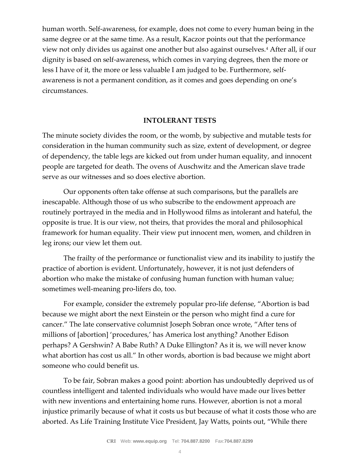human worth. Self-awareness, for example, does not come to every human being in the same degree or at the same time. As a result, Kaczor points out that the performance view not only divides us against one another but also against ourselves.<sup>4</sup> After all, if our dignity is based on self-awareness, which comes in varying degrees, then the more or less I have of it, the more or less valuable I am judged to be. Furthermore, selfawareness is not a permanent condition, as it comes and goes depending on one's circumstances.

#### **INTOLERANT TESTS**

The minute society divides the room, or the womb, by subjective and mutable tests for consideration in the human community such as size, extent of development, or degree of dependency, the table legs are kicked out from under human equality, and innocent people are targeted for death. The ovens of Auschwitz and the American slave trade serve as our witnesses and so does elective abortion.

Our opponents often take offense at such comparisons, but the parallels are inescapable. Although those of us who subscribe to the endowment approach are routinely portrayed in the media and in Hollywood films as intolerant and hateful, the opposite is true. It is our view, not theirs, that provides the moral and philosophical framework for human equality. Their view put innocent men, women, and children in leg irons; our view let them out.

The frailty of the performance or functionalist view and its inability to justify the practice of abortion is evident. Unfortunately, however, it is not just defenders of abortion who make the mistake of confusing human function with human value; sometimes well-meaning pro-lifers do, too.

For example, consider the extremely popular pro-life defense, "Abortion is bad because we might abort the next Einstein or the person who might find a cure for cancer." The late conservative columnist Joseph Sobran once wrote, "After tens of millions of [abortion] 'procedures,' has America lost anything? Another Edison perhaps? A Gershwin? A Babe Ruth? A Duke Ellington? As it is, we will never know what abortion has cost us all." In other words, abortion is bad because we might abort someone who could benefit us.

To be fair, Sobran makes a good point: abortion has undoubtedly deprived us of countless intelligent and talented individuals who would have made our lives better with new inventions and entertaining home runs. However, abortion is not a moral injustice primarily because of what it costs us but because of what it costs those who are aborted. As Life Training Institute Vice President, Jay Watts, points out, "While there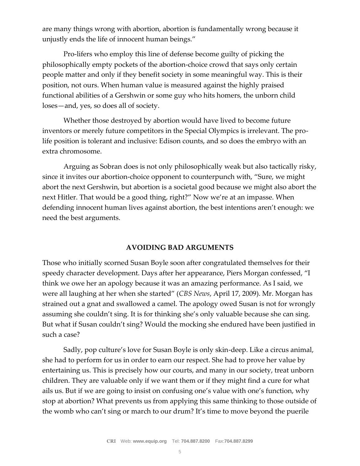are many things wrong with abortion, abortion is fundamentally wrong because it unjustly ends the life of innocent human beings."

Pro-lifers who employ this line of defense become guilty of picking the philosophically empty pockets of the abortion-choice crowd that says only certain people matter and only if they benefit society in some meaningful way. This is their position, not ours. When human value is measured against the highly praised functional abilities of a Gershwin or some guy who hits homers, the unborn child loses—and, yes, so does all of society.

Whether those destroyed by abortion would have lived to become future inventors or merely future competitors in the Special Olympics is irrelevant. The prolife position is tolerant and inclusive: Edison counts, and so does the embryo with an extra chromosome.

Arguing as Sobran does is not only philosophically weak but also tactically risky, since it invites our abortion-choice opponent to counterpunch with, "Sure, we might abort the next Gershwin, but abortion is a societal good because we might also abort the next Hitler. That would be a good thing, right?" Now we're at an impasse. When defending innocent human lives against abortion, the best intentions aren't enough: we need the best arguments.

## **AVOIDING BAD ARGUMENTS**

Those who initially scorned Susan Boyle soon after congratulated themselves for their speedy character development. Days after her appearance, Piers Morgan confessed, "I think we owe her an apology because it was an amazing performance. As I said, we were all laughing at her when she started" (*CBS News*, April 17, 2009). Mr. Morgan has strained out a gnat and swallowed a camel. The apology owed Susan is not for wrongly assuming she couldn't sing. It is for thinking she's only valuable because she can sing. But what if Susan couldn't sing? Would the mocking she endured have been justified in such a case?

Sadly, pop culture's love for Susan Boyle is only skin-deep. Like a circus animal, she had to perform for us in order to earn our respect. She had to prove her value by entertaining us. This is precisely how our courts, and many in our society, treat unborn children. They are valuable only if we want them or if they might find a cure for what ails us. But if we are going to insist on confusing one's value with one's function, why stop at abortion? What prevents us from applying this same thinking to those outside of the womb who can't sing or march to our drum? It's time to move beyond the puerile